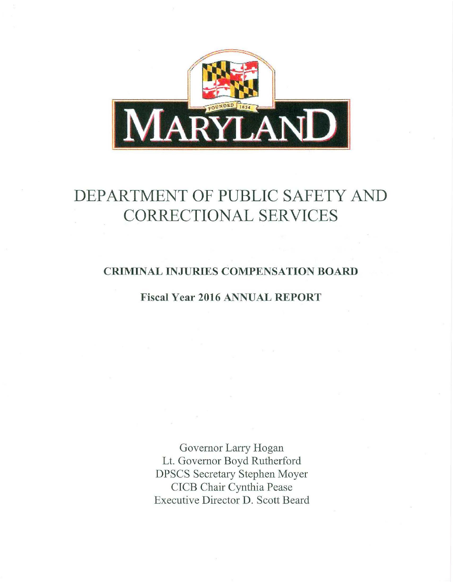

# DEPARTMENT OF PUBLIC SAFETY AND CORRECTIONAL SERVICES

## CRIMINAL INJURIES COMPENSATION BOARD

### Fiscal Year 2016 ANNUAL REPORT

Governor Larry Hogan Lt. Governor Boyd Rutherford DPSCS Secretary Stephen Moyer CICB Chair Cynthia Pease Executive Director D. Scott Beard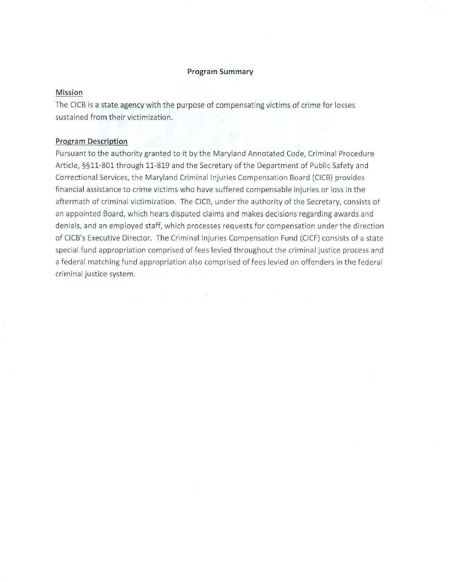#### **Program Summary**

#### **Mission**

The CICB is a state agency with the purpose of compensating victims of crime for losses sustained from their victimization.

#### **Program Description**

Pursuant to the authority granted to it by the Maryland Annotated Code, Criminal Procedure Article, §§11-801 through 11-819 and the Secretary of the Department of Public Safety and Correctional Services, the Maryland Criminal Injuries Compensation Board (CICB) provides financial assistance to crime victims who have suffered compensable injuries or loss in the aftermath of criminal victimization. The CICB, under the authority of the Secretary, consists of an appointed Board, which hears disputed claims and makes decisions regarding awards and denials, and an employed staff, which processes requests for compensation under the direction of CICB's Executive Director. The Criminal Injuries Compensation Fund (CICF) consists of a state special fund appropriation comprised of fees levied throughout the criminal justice process and a federal matching fund appropriation also comprised of fees levied on offenders in the federal criminal justice system .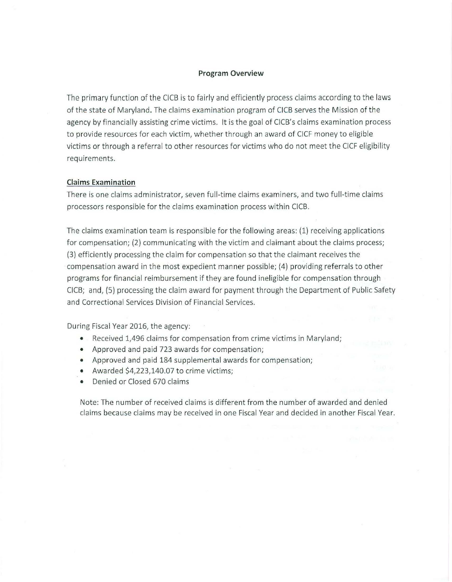#### **Program Overview**

The primary function of the CICB is to fairly and efficiently process claims according to the laws of the state of Maryland. The claims examination program of CICB serves the Mission of the agency by financially assisting crime victims. It is the goal of CICB's claims examination process to provide resources for each victim, whether through an award of CICF money to eligible victims or through a referral to other resources for victims who do not meet the CICF eligibility requirements.

#### **Claims Examination**

There is one claims administrator, seven full-time claims examiners, and two full-time claims processors responsible for the claims examination process within CICB.

The claims examination team is responsible for the following areas: (1) receiving applications for compensation; (2) communicating with the victim and claimant about the claims process; (3) efficiently processing the claim for compensation so t hat the claimant receives the compensation award in the most expedient manner possible; (4) providing referrals to other programs for financial reimbursement if they are found ineligible for compensation through CICB; and, (5) processing the claim award for payment through the Department of Public Safety and Correctional Services Division of Financial Services.

During Fiscal Year 2016, the agency:

- Received 1,496 claims for compensation from crime victims in Maryland;
- Approved and paid 723 awards for compensation;
- Approved and paid 184 supplemental awards for compensation;
- Awarded \$4,223,140.07 to crime victims;
- Denied or Closed 670 claims

Note: The number of received claims is different from the number of awarded and denied cl aims because claims may be received in one Fiscal Year and decided in another Fiscal Year.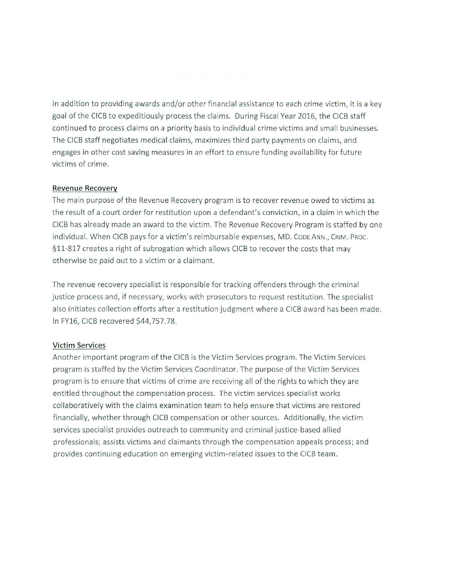In addition to providing awards and/or other financial assistance to each crime victim, it is a key goal of the CICB to expeditiously process the claims. During Fiscal Year 2016, the CICB staff continued to process claims on a priority basis to individual crime victims and small businesses. The CICB staff negotiates medical claims, maximizes third party payments on claims, and engages in other cost saving measures in an effort to ensure funding availability for future victims of crime.

#### **Revenue Recovery**

The main purpose of the Revenue Recovery program is to recover revenue owed to victims as t he result of a court order for restitution upon a defendant's conviction, in a claim in which the CICB has already made an award to the victim. The Revenue Recovery Program is staffed by one individual. When CICB pays for a victim's reimbursable expenses, MD. CODE ANN., CRIM. PROC. §11-817 creates a right of subrogation which allows CICB to recover the costs that may otherwise be paid out to a victim or a claimant.

The revenue recovery specialist is responsible for tracking offenders through the crimina l justice process and, if necessary, works with prosecutors to request restitution. The specialist also initiates collection efforts after a restitution judgment where a CICB award has been made. In FY16, CICB recovered \$44,757.78.

#### **Victim Services**

Another important program of the CICB is the Victim Services program. The Victim Services program is staffed by the Victim Services Coordinator. The purpose of the Victim Services program is to ensure that victims of crime are receiving all of the rights to which they are entitled throughout the compensation process. The victim services specialist works collaboratively with the claims examination team to help ensure that victims are restored financially, whether through CICB compensation or other sources. Additionally, the victim services specialist provides outreach to community and criminal justice-based allied professionals; assists victims and claimants through the compensation appeals process; and provides continuing education on emerging victim-related issues to the CICB team.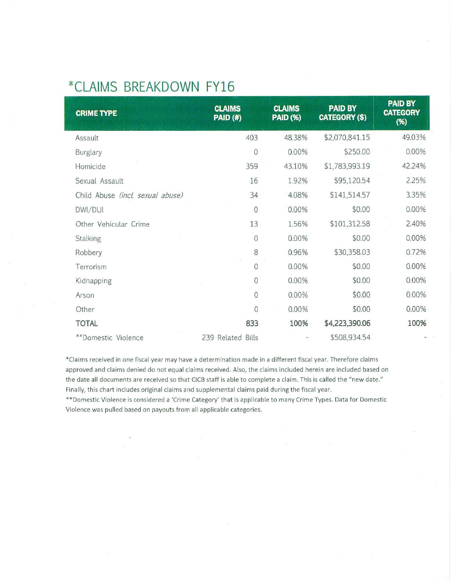## **\*CLAIMS BREAKDOWN FY16**

| <b>CRIME TYPE</b>                | <b>CLAIMS</b><br><b>PAID (#)</b> | <b>CLAIMS</b><br><b>PAID (%)</b> | <b>PAID BY</b><br><b>CATEGORY (\$)</b> | <b>PAID BY</b><br><b>CATEGORY</b><br>(%) |
|----------------------------------|----------------------------------|----------------------------------|----------------------------------------|------------------------------------------|
| Assault                          | 403                              | 48.38%                           | \$2,070,841.15                         | 49.03%                                   |
| Burglary                         | $\circ$                          | 0.00%                            | \$250.00                               | 0.00%                                    |
| Homicide                         | 359                              | 43.10%                           | \$1,783,993.19                         | 42.24%                                   |
| Sexual Assault                   | 16                               | 1.92%                            | \$95,120.54                            | 2.25%                                    |
| Child Abuse (incl. sexual abuse) | 34                               | 4.08%                            | \$141,514.57                           | 3.35%                                    |
| DWI/DUI                          | $\theta$                         | 0.00%                            | \$0.00                                 | 0.00%                                    |
| Other Vehicular Crime            | 13                               | 1.56%                            | \$101,312.58                           | 2.40%                                    |
| Stalking                         | 0                                | 0.00%                            | \$0.00                                 | 0.00%                                    |
| Robbery                          | 8                                | 0.96%                            | \$30,358.03                            | 0.72%                                    |
| Terrorism                        | $\circ$                          | 0.00%                            | \$0.00                                 | 0.00%                                    |
| Kidnapping                       | $\mathbf 0$                      | 0.00%                            | \$0.00                                 | 0.00%                                    |
| Arson                            | $\mathbf{0}$                     | 0.00%                            | \$0.00                                 | 0.00%                                    |
| Other                            | $\overline{0}$                   | 0.00%                            | \$0.00                                 | 0.00%                                    |
| <b>TOTAL</b>                     | 833                              | 100%                             | \$4,223,390.06                         | 100%                                     |
| **Domestic Violence              | 239 Related Bills                |                                  | \$508,934.54                           |                                          |

\*Claims received in one fiscal year may have a determination made in a different fiscal year. Therefore claims approved and claims denied do not equal claims received. Also, the claims included herein are included based on the date all documents are received so that CICB staff is able to complete a claim. This is called the "new date." Finally, this chart includes original claims and supplemental claims paid during the fiscal year.

\*\*Domestic Violence is considered a 'Crime Category' that is applicable to many Crime Types. Data for Domestic Violence was pulled based on payouts from all applicable categories.